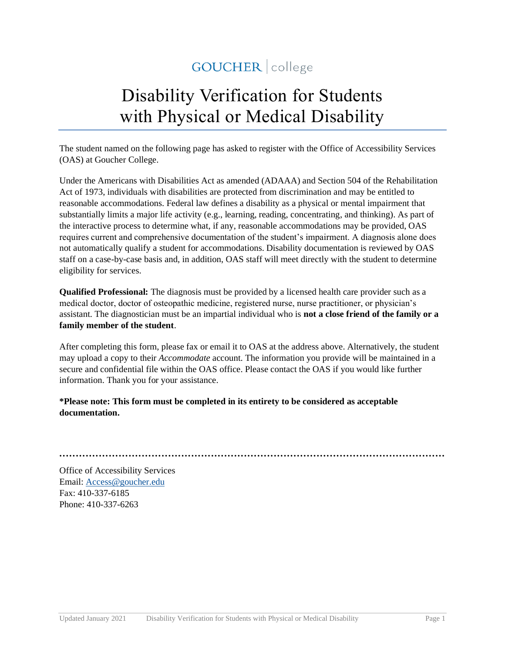## GOUCHER | college

# Disability Verification for Students with Physical or Medical Disability

The student named on the following page has asked to register with the Office of Accessibility Services (OAS) at Goucher College.

Under the Americans with Disabilities Act as amended (ADAAA) and Section 504 of the Rehabilitation Act of 1973, individuals with disabilities are protected from discrimination and may be entitled to reasonable accommodations. Federal law defines a disability as a physical or mental impairment that substantially limits a major life activity (e.g., learning, reading, concentrating, and thinking). As part of the interactive process to determine what, if any, reasonable accommodations may be provided, OAS requires current and comprehensive documentation of the student's impairment. A diagnosis alone does not automatically qualify a student for accommodations. Disability documentation is reviewed by OAS staff on a case-by-case basis and, in addition, OAS staff will meet directly with the student to determine eligibility for services.

**Qualified Professional:** The diagnosis must be provided by a licensed health care provider such as a medical doctor, doctor of osteopathic medicine, registered nurse, nurse practitioner, or physician's assistant. The diagnostician must be an impartial individual who is **not a close friend of the family or a family member of the student**.

After completing this form, please fax or email it to OAS at the address above. Alternatively, the student may upload a copy to their *Accommodate* account. The information you provide will be maintained in a secure and confidential file within the OAS office. Please contact the OAS if you would like further information. Thank you for your assistance.

#### **\*Please note: This form must be completed in its entirety to be considered as acceptable documentation.**

**·····················································································································**

Office of Accessibility Services Email: [Access@goucher.edu](mailto:Access@goucher.edu) Fax: 410-337-6185 Phone: 410-337-6263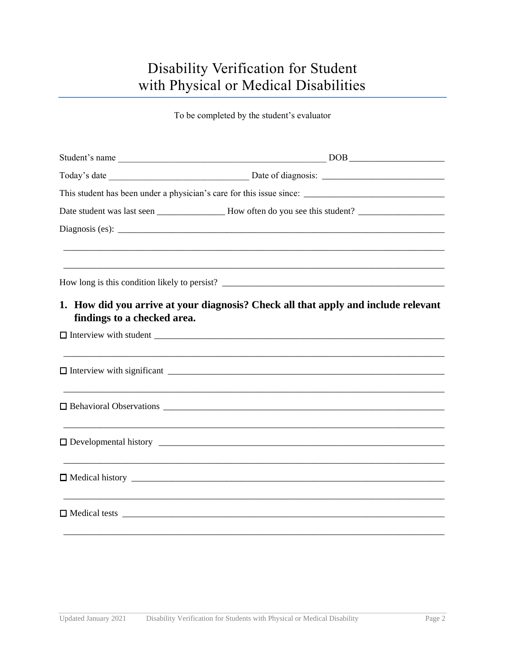### Disability Verification for Student with Physical or Medical Disabilities

To be completed by the student's evaluator

| findings to a checked area. | 1. How did you arrive at your diagnosis? Check all that apply and include relevant |
|-----------------------------|------------------------------------------------------------------------------------|
|                             |                                                                                    |
|                             |                                                                                    |
|                             |                                                                                    |
|                             |                                                                                    |
|                             |                                                                                    |
|                             |                                                                                    |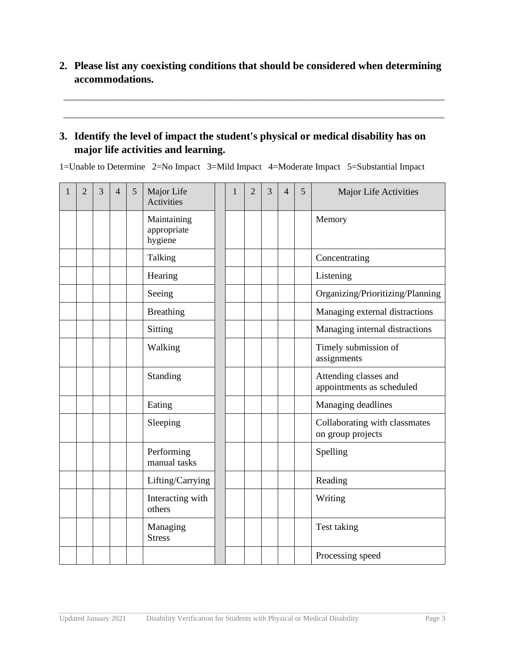**2. Please list any coexisting conditions that should be considered when determining accommodations.** 

\_\_\_\_\_\_\_\_\_\_\_\_\_\_\_\_\_\_\_\_\_\_\_\_\_\_\_\_\_\_\_\_\_\_\_\_\_\_\_\_\_\_\_\_\_\_\_\_\_\_\_\_\_\_\_\_\_\_\_\_\_\_\_\_\_\_\_\_\_\_\_\_\_\_\_\_\_\_\_\_\_\_\_\_

\_\_\_\_\_\_\_\_\_\_\_\_\_\_\_\_\_\_\_\_\_\_\_\_\_\_\_\_\_\_\_\_\_\_\_\_\_\_\_\_\_\_\_\_\_\_\_\_\_\_\_\_\_\_\_\_\_\_\_\_\_\_\_\_\_\_\_\_\_\_\_\_\_\_\_\_\_\_\_\_\_\_\_\_

#### **3. Identify the level of impact the student's physical or medical disability has on major life activities and learning.**

1=Unable to Determine 2=No Impact 3=Mild Impact 4=Moderate Impact 5=Substantial Impact

| $\overline{2}$ | 3 | $\overline{4}$ | 5 | Major Life<br><b>Activities</b>       | 1 | $\overline{2}$ | 3 | 4 | 5 | Major Life Activities                              |
|----------------|---|----------------|---|---------------------------------------|---|----------------|---|---|---|----------------------------------------------------|
|                |   |                |   | Maintaining<br>appropriate<br>hygiene |   |                |   |   |   | Memory                                             |
|                |   |                |   | Talking                               |   |                |   |   |   | Concentrating                                      |
|                |   |                |   | Hearing                               |   |                |   |   |   | Listening                                          |
|                |   |                |   | Seeing                                |   |                |   |   |   | Organizing/Prioritizing/Planning                   |
|                |   |                |   | <b>Breathing</b>                      |   |                |   |   |   | Managing external distractions                     |
|                |   |                |   | Sitting                               |   |                |   |   |   | Managing internal distractions                     |
|                |   |                |   | Walking                               |   |                |   |   |   | Timely submission of<br>assignments                |
|                |   |                |   | Standing                              |   |                |   |   |   | Attending classes and<br>appointments as scheduled |
|                |   |                |   | Eating                                |   |                |   |   |   | Managing deadlines                                 |
|                |   |                |   | Sleeping                              |   |                |   |   |   | Collaborating with classmates<br>on group projects |
|                |   |                |   | Performing<br>manual tasks            |   |                |   |   |   | Spelling                                           |
|                |   |                |   | Lifting/Carrying                      |   |                |   |   |   | Reading                                            |
|                |   |                |   | Interacting with<br>others            |   |                |   |   |   | Writing                                            |
|                |   |                |   | Managing<br><b>Stress</b>             |   |                |   |   |   | Test taking                                        |
|                |   |                |   |                                       |   |                |   |   |   | Processing speed                                   |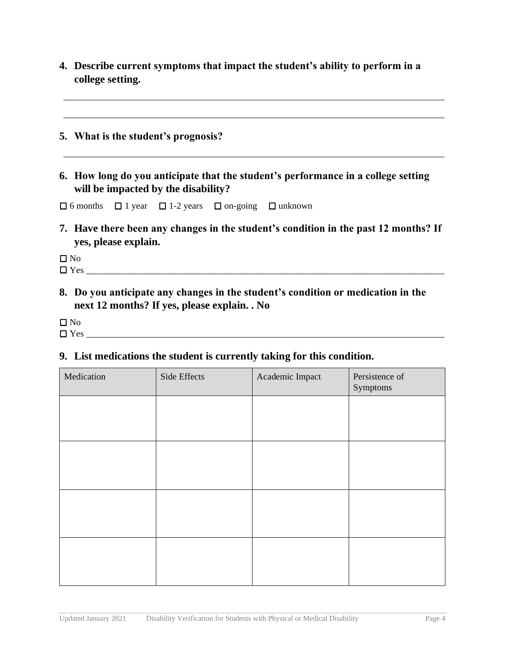**4. Describe current symptoms that impact the student's ability to perform in a college setting.** 

\_\_\_\_\_\_\_\_\_\_\_\_\_\_\_\_\_\_\_\_\_\_\_\_\_\_\_\_\_\_\_\_\_\_\_\_\_\_\_\_\_\_\_\_\_\_\_\_\_\_\_\_\_\_\_\_\_\_\_\_\_\_\_\_\_\_\_\_\_\_\_\_\_\_\_\_\_\_\_\_\_\_\_\_

\_\_\_\_\_\_\_\_\_\_\_\_\_\_\_\_\_\_\_\_\_\_\_\_\_\_\_\_\_\_\_\_\_\_\_\_\_\_\_\_\_\_\_\_\_\_\_\_\_\_\_\_\_\_\_\_\_\_\_\_\_\_\_\_\_\_\_\_\_\_\_\_\_\_\_\_\_\_\_\_\_\_\_\_

\_\_\_\_\_\_\_\_\_\_\_\_\_\_\_\_\_\_\_\_\_\_\_\_\_\_\_\_\_\_\_\_\_\_\_\_\_\_\_\_\_\_\_\_\_\_\_\_\_\_\_\_\_\_\_\_\_\_\_\_\_\_\_\_\_\_\_\_\_\_\_\_\_\_\_\_\_\_\_\_\_\_\_\_

- **5. What is the student's prognosis?**
- **6. How long do you anticipate that the student's performance in a college setting will be impacted by the disability?**

 $\Box$  6 months  $\Box$  1 year  $\Box$  1-2 years  $\Box$  on-going  $\Box$  unknown

**7. Have there been any changes in the student's condition in the past 12 months? If yes, please explain.** 

 $\square$  No

- Yes \_\_\_\_\_\_\_\_\_\_\_\_\_\_\_\_\_\_\_\_\_\_\_\_\_\_\_\_\_\_\_\_\_\_\_\_\_\_\_\_\_\_\_\_\_\_\_\_\_\_\_\_\_\_\_\_\_\_\_\_\_\_\_\_\_\_\_\_\_\_\_\_\_\_\_\_\_\_\_
- **8. Do you anticipate any changes in the student's condition or medication in the next 12 months? If yes, please explain. . No**

 $\square$  No

Yes \_\_\_\_\_\_\_\_\_\_\_\_\_\_\_\_\_\_\_\_\_\_\_\_\_\_\_\_\_\_\_\_\_\_\_\_\_\_\_\_\_\_\_\_\_\_\_\_\_\_\_\_\_\_\_\_\_\_\_\_\_\_\_\_\_\_\_\_\_\_\_\_\_\_\_\_\_\_\_

#### **9. List medications the student is currently taking for this condition.**

| Medication | Side Effects | Academic Impact | Persistence of<br>Symptoms |
|------------|--------------|-----------------|----------------------------|
|            |              |                 |                            |
|            |              |                 |                            |
|            |              |                 |                            |
|            |              |                 |                            |
|            |              |                 |                            |
|            |              |                 |                            |
|            |              |                 |                            |
|            |              |                 |                            |
|            |              |                 |                            |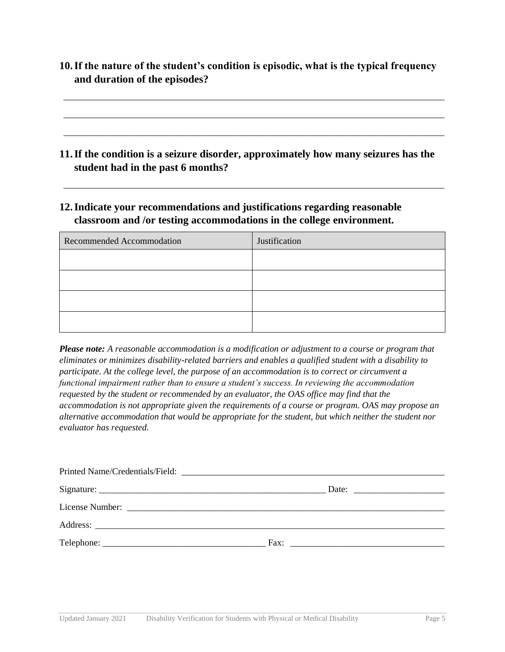**10.If the nature of the student's condition is episodic, what is the typical frequency and duration of the episodes?** 

\_\_\_\_\_\_\_\_\_\_\_\_\_\_\_\_\_\_\_\_\_\_\_\_\_\_\_\_\_\_\_\_\_\_\_\_\_\_\_\_\_\_\_\_\_\_\_\_\_\_\_\_\_\_\_\_\_\_\_\_\_\_\_\_\_\_\_\_\_\_\_\_\_\_\_\_\_\_\_\_\_\_\_\_

\_\_\_\_\_\_\_\_\_\_\_\_\_\_\_\_\_\_\_\_\_\_\_\_\_\_\_\_\_\_\_\_\_\_\_\_\_\_\_\_\_\_\_\_\_\_\_\_\_\_\_\_\_\_\_\_\_\_\_\_\_\_\_\_\_\_\_\_\_\_\_\_\_\_\_\_\_\_\_\_\_\_\_\_

\_\_\_\_\_\_\_\_\_\_\_\_\_\_\_\_\_\_\_\_\_\_\_\_\_\_\_\_\_\_\_\_\_\_\_\_\_\_\_\_\_\_\_\_\_\_\_\_\_\_\_\_\_\_\_\_\_\_\_\_\_\_\_\_\_\_\_\_\_\_\_\_\_\_\_\_\_\_\_\_\_\_\_\_

\_\_\_\_\_\_\_\_\_\_\_\_\_\_\_\_\_\_\_\_\_\_\_\_\_\_\_\_\_\_\_\_\_\_\_\_\_\_\_\_\_\_\_\_\_\_\_\_\_\_\_\_\_\_\_\_\_\_\_\_\_\_\_\_\_\_\_\_\_\_\_\_\_\_\_\_\_\_\_\_\_\_\_\_

- **11.If the condition is a seizure disorder, approximately how many seizures has the student had in the past 6 months?**
- **12.Indicate your recommendations and justifications regarding reasonable classroom and /or testing accommodations in the college environment.**

| Recommended Accommodation | Justification |  |  |  |
|---------------------------|---------------|--|--|--|
|                           |               |  |  |  |
|                           |               |  |  |  |
|                           |               |  |  |  |
|                           |               |  |  |  |

*Please note: A reasonable accommodation is a modification or adjustment to a course or program that eliminates or minimizes disability-related barriers and enables a qualified student with a disability to participate. At the college level, the purpose of an accommodation is to correct or circumvent a functional impairment rather than to ensure a student's success. In reviewing the accommodation requested by the student or recommended by an evaluator, the OAS office may find that the accommodation is not appropriate given the requirements of a course or program. OAS may propose an alternative accommodation that would be appropriate for the student, but which neither the student nor evaluator has requested.* 

| Date: $\qquad \qquad$ |
|-----------------------|
|                       |
|                       |
| Fax: $\qquad \qquad$  |